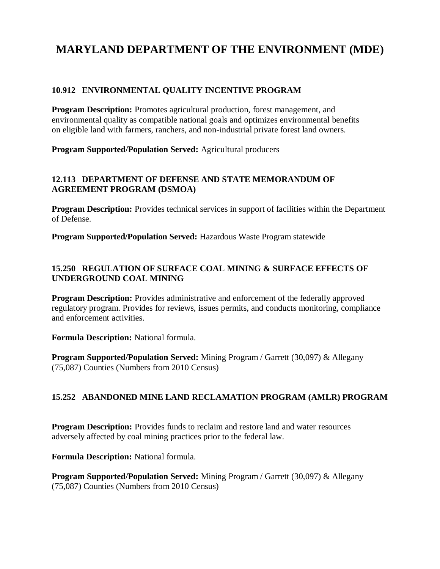# **MARYLAND DEPARTMENT OF THE ENVIRONMENT (MDE)**

## **10.912 ENVIRONMENTAL QUALITY INCENTIVE PROGRAM**

**Program Description:** Promotes agricultural production, forest management, and environmental quality as compatible national goals and optimizes environmental benefits on eligible land with farmers, ranchers, and non-industrial private forest land owners.

**Program Supported/Population Served:** Agricultural producers

## **12.113 DEPARTMENT OF DEFENSE AND STATE MEMORANDUM OF AGREEMENT PROGRAM (DSMOA)**

**Program Description:** Provides technical services in support of facilities within the Department of Defense.

**Program Supported/Population Served:** Hazardous Waste Program statewide

## **15.250 REGULATION OF SURFACE COAL MINING & SURFACE EFFECTS OF UNDERGROUND COAL MINING**

**Program Description:** Provides administrative and enforcement of the federally approved regulatory program. Provides for reviews, issues permits, and conducts monitoring, compliance and enforcement activities.

**Formula Description:** National formula.

**Program Supported/Population Served:** Mining Program / Garrett (30,097) & Allegany (75,087) Counties (Numbers from 2010 Census)

# **15.252 ABANDONED MINE LAND RECLAMATION PROGRAM (AMLR) PROGRAM**

**Program Description:** Provides funds to reclaim and restore land and water resources adversely affected by coal mining practices prior to the federal law.

**Formula Description:** National formula.

**Program Supported/Population Served:** Mining Program / Garrett (30,097) & Allegany (75,087) Counties (Numbers from 2010 Census)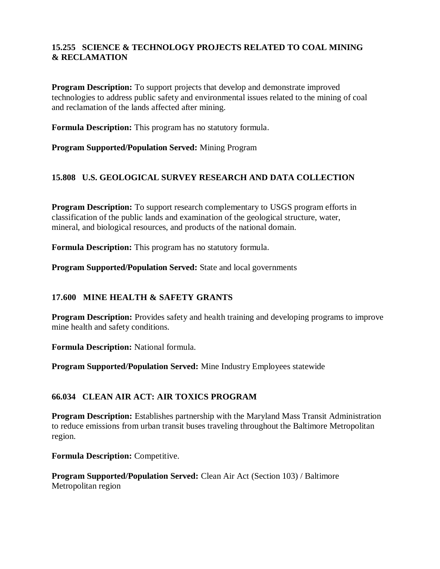# **15.255 SCIENCE & TECHNOLOGY PROJECTS RELATED TO COAL MINING & RECLAMATION**

**Program Description:** To support projects that develop and demonstrate improved technologies to address public safety and environmental issues related to the mining of coal and reclamation of the lands affected after mining.

**Formula Description:** This program has no statutory formula.

**Program Supported/Population Served:** Mining Program

## **15.808 U.S. GEOLOGICAL SURVEY RESEARCH AND DATA COLLECTION**

**Program Description:** To support research complementary to USGS program efforts in classification of the public lands and examination of the geological structure, water, mineral, and biological resources, and products of the national domain.

**Formula Description:** This program has no statutory formula.

**Program Supported/Population Served:** State and local governments

# **17.600 MINE HEALTH & SAFETY GRANTS**

**Program Description:** Provides safety and health training and developing programs to improve mine health and safety conditions.

**Formula Description:** National formula.

**Program Supported/Population Served:** Mine Industry Employees statewide

#### **66.034 CLEAN AIR ACT: AIR TOXICS PROGRAM**

**Program Description:** Establishes partnership with the Maryland Mass Transit Administration to reduce emissions from urban transit buses traveling throughout the Baltimore Metropolitan region.

**Formula Description:** Competitive.

**Program Supported/Population Served:** Clean Air Act (Section 103) / Baltimore Metropolitan region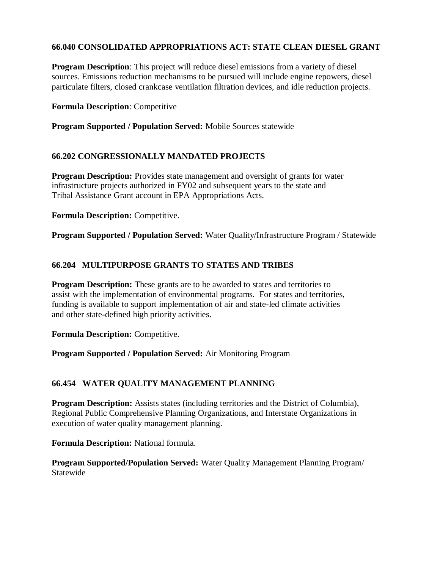## **66.040 CONSOLIDATED APPROPRIATIONS ACT: STATE CLEAN DIESEL GRANT**

**Program Description:** This project will reduce diesel emissions from a variety of diesel sources. Emissions reduction mechanisms to be pursued will include engine repowers, diesel particulate filters, closed crankcase ventilation filtration devices, and idle reduction projects.

**Formula Description**: Competitive

**Program Supported / Population Served:** Mobile Sources statewide

#### **66.202 CONGRESSIONALLY MANDATED PROJECTS**

**Program Description:** Provides state management and oversight of grants for water infrastructure projects authorized in FY02 and subsequent years to the state and Tribal Assistance Grant account in EPA Appropriations Acts.

**Formula Description:** Competitive.

**Program Supported / Population Served:** Water Quality/Infrastructure Program / Statewide

## **66.204 MULTIPURPOSE GRANTS TO STATES AND TRIBES**

**Program Description:** These grants are to be awarded to states and territories to assist with the implementation of environmental programs. For states and territories, funding is available to support implementation of air and state-led climate activities and other state-defined high priority activities.

**Formula Description:** Competitive.

**Program Supported / Population Served:** Air Monitoring Program

#### **66.454 WATER QUALITY MANAGEMENT PLANNING**

**Program Description:** Assists states (including territories and the District of Columbia), Regional Public Comprehensive Planning Organizations, and Interstate Organizations in execution of water quality management planning.

**Formula Description:** National formula.

**Program Supported/Population Served:** Water Quality Management Planning Program/ **Statewide**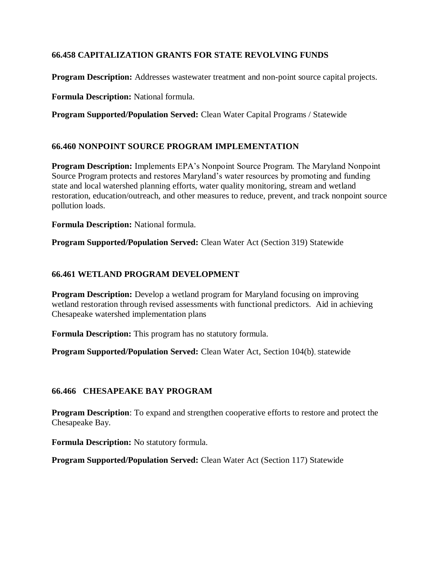# **66.458 CAPITALIZATION GRANTS FOR STATE REVOLVING FUNDS**

**Program Description:** Addresses wastewater treatment and non-point source capital projects.

**Formula Description:** National formula.

**Program Supported/Population Served:** Clean Water Capital Programs / Statewide

#### **66.460 NONPOINT SOURCE PROGRAM IMPLEMENTATION**

**Program Description:** Implements EPA's Nonpoint Source Program. The Maryland Nonpoint Source Program protects and restores Maryland's water resources by promoting and funding state and local watershed planning efforts, water quality monitoring, stream and wetland restoration, education/outreach, and other measures to reduce, prevent, and track nonpoint source pollution loads.

**Formula Description:** National formula.

**Program Supported/Population Served:** Clean Water Act (Section 319) Statewide

#### **66.461 WETLAND PROGRAM DEVELOPMENT**

**Program Description:** Develop a wetland program for Maryland focusing on improving wetland restoration through revised assessments with functional predictors. Aid in achieving Chesapeake watershed implementation plans

**Formula Description:** This program has no statutory formula.

**Program Supported/Population Served:** Clean Water Act, Section 104(b), <sup>S</sup>tatewide

#### **66.466 CHESAPEAKE BAY PROGRAM**

**Program Description**: To expand and strengthen cooperative efforts to restore and protect the Chesapeake Bay.

**Formula Description:** No statutory formula.

**Program Supported/Population Served:** Clean Water Act (Section 117) Statewide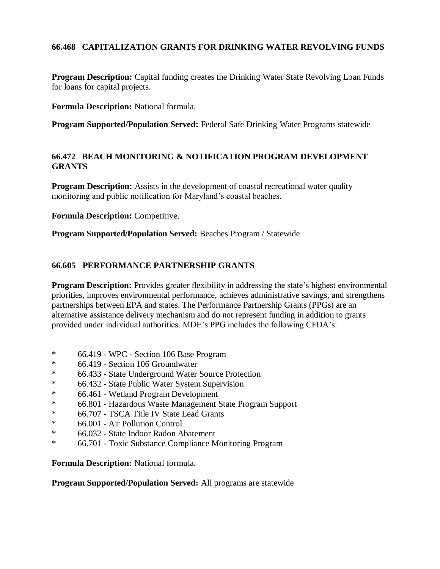## **66.468 CAPITALIZATION GRANTS FOR DRINKING WATER REVOLVING FUNDS**

**Program Description:** Capital funding creates the Drinking Water State Revolving Loan Funds for loans for capital projects.

**Formula Description:** National formula.

**Program Supported/Population Served:** Federal Safe Drinking Water Programs statewide

#### **66.472 BEACH MONITORING & NOTIFICATION PROGRAM DEVELOPMENT GRANTS**

**Program Description:** Assists in the development of coastal recreational water quality monitoring and public notification for Maryland's coastal beaches.

**Formula Description:** Competitive.

**Program Supported/Population Served:** Beaches Program / Statewide

#### **66.605 PERFORMANCE PARTNERSHIP GRANTS**

**Program Description:** Provides greater flexibility in addressing the state's highest environmental priorities, improves environmental performance, achieves administrative savings, and strengthens partnerships between EPA and states. The Performance Partnership Grants (PPGs) are an alternative assistance delivery mechanism and do not represent funding in addition to grants provided under individual authorities. MDE's PPG includes the following CFDA's:

- $*$  66.419 WPC Section 106 Base Program<br> $*$  66.419 Section 106 Groundwater
- \* 66.419 Section 106 Groundwater
- \* 66.433 State Underground Water Source Protection
- \* 66.432 State Public Water System Supervision
- \* 66.461 Wetland Program Development
- \* 66.801 Hazardous Waste Management State Program Support
- \* 66.707 TSCA Title IV State Lead Grants
- \* 66.001 Air Pollution Control
- \* 66.032 State Indoor Radon Abatement
- \* 66.701 Toxic Substance Compliance Monitoring Program

**Formula Description:** National formula.

**Program Supported/Population Served:** All programs are statewide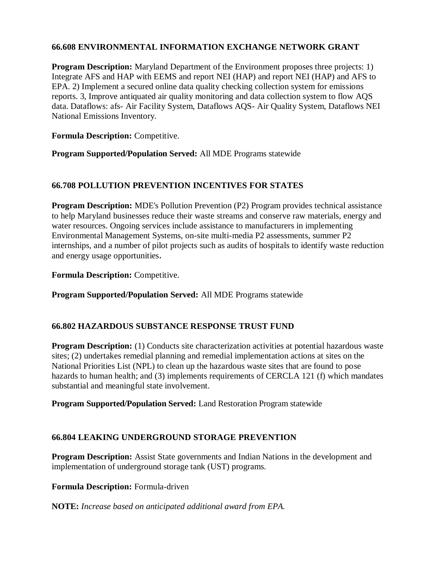#### **66.608 ENVIRONMENTAL INFORMATION EXCHANGE NETWORK GRANT**

**Program Description:** Maryland Department of the Environment proposes three projects: 1) Integrate AFS and HAP with EEMS and report NEI (HAP) and report NEI (HAP) and AFS to EPA. 2) Implement a secured online data quality checking collection system for emissions reports. 3, Improve antiquated air quality monitoring and data collection system to flow AQS data. Dataflows: afs- Air Facility System, Dataflows AQS- Air Quality System, Dataflows NEI National Emissions Inventory.

**Formula Description:** Competitive.

**Program Supported/Population Served:** All MDE Programs statewide

## **66.708 POLLUTION PREVENTION INCENTIVES FOR STATES**

**Program Description:** MDE's Pollution Prevention (P2) Program provides technical assistance to help Maryland businesses reduce their waste streams and conserve raw materials, energy and water resources. Ongoing services include assistance to manufacturers in implementing Environmental Management Systems, on-site multi-media P2 assessments, summer P2 internships, and a number of pilot projects such as audits of hospitals to identify waste reduction and energy usage opportunities.

**Formula Description:** Competitive.

**Program Supported/Population Served:** All MDE Programs statewide

#### **66.802 HAZARDOUS SUBSTANCE RESPONSE TRUST FUND**

**Program Description:** (1) Conducts site characterization activities at potential hazardous waste sites; (2) undertakes remedial planning and remedial implementation actions at sites on the National Priorities List (NPL) to clean up the hazardous waste sites that are found to pose hazards to human health; and (3) implements requirements of CERCLA 121 (f) which mandates substantial and meaningful state involvement.

**Program Supported/Population Served:** Land Restoration Program statewide

#### **66.804 LEAKING UNDERGROUND STORAGE PREVENTION**

**Program Description:** Assist State governments and Indian Nations in the development and implementation of underground storage tank (UST) programs.

**Formula Description:** Formula-driven

**NOTE:** *Increase based on anticipated additional award from EPA.*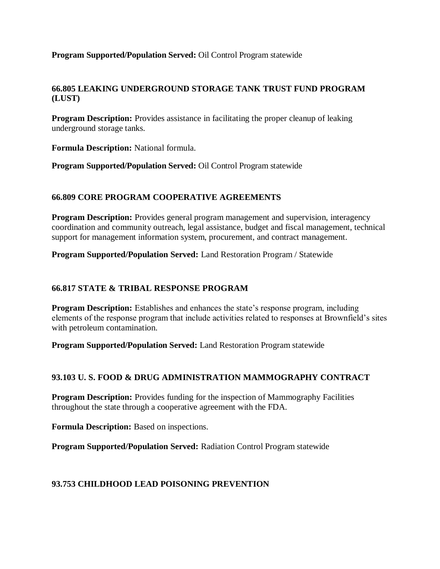#### **Program Supported/Population Served:** Oil Control Program statewide

#### **66.805 LEAKING UNDERGROUND STORAGE TANK TRUST FUND PROGRAM (LUST)**

**Program Description:** Provides assistance in facilitating the proper cleanup of leaking underground storage tanks.

**Formula Description:** National formula.

**Program Supported/Population Served:** Oil Control Program statewide

## **66.809 CORE PROGRAM COOPERATIVE AGREEMENTS**

**Program Description:** Provides general program management and supervision, interagency coordination and community outreach, legal assistance, budget and fiscal management, technical support for management information system, procurement, and contract management.

**Program Supported/Population Served:** Land Restoration Program / Statewide

## **66.817 STATE & TRIBAL RESPONSE PROGRAM**

**Program Description:** Establishes and enhances the state's response program, including elements of the response program that include activities related to responses at Brownfield's sites with petroleum contamination.

**Program Supported/Population Served:** Land Restoration Program statewide

#### **93.103 U. S. FOOD & DRUG ADMINISTRATION MAMMOGRAPHY CONTRACT**

**Program Description:** Provides funding for the inspection of Mammography Facilities throughout the state through a cooperative agreement with the FDA.

**Formula Description:** Based on inspections.

**Program Supported/Population Served:** Radiation Control Program statewide

#### **93.753 CHILDHOOD LEAD POISONING PREVENTION**